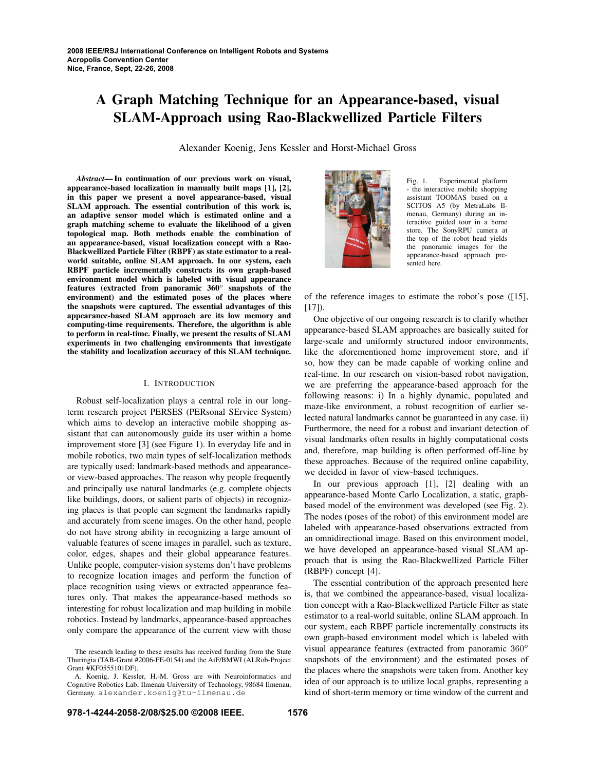# A Graph Matching Technique for an Appearance-based, visual SLAM-Approach using Rao-Blackwellized Particle Filters

Alexander Koenig, Jens Kessler and Horst-Michael Gross

*Abstract*— In continuation of our previous work on visual, appearance-based localization in manually built maps [1], [2], in this paper we present a novel appearance-based, visual SLAM approach. The essential contribution of this work is, an adaptive sensor model which is estimated online and a graph matching scheme to evaluate the likelihood of a given topological map. Both methods enable the combination of an appearance-based, visual localization concept with a Rao-Blackwellized Particle Filter (RBPF) as state estimator to a realworld suitable, online SLAM approach. In our system, each RBPF particle incrementally constructs its own graph-based environment model which is labeled with visual appearance features (extracted from panoramic  $360^\circ$  snapshots of the environment) and the estimated poses of the places where the snapshots were captured. The essential advantages of this appearance-based SLAM approach are its low memory and computing-time requirements. Therefore, the algorithm is able to perform in real-time. Finally, we present the results of SLAM experiments in two challenging environments that investigate the stability and localization accuracy of this SLAM technique.

## I. INTRODUCTION

Robust self-localization plays a central role in our longterm research project PERSES (PERsonal SErvice System) which aims to develop an interactive mobile shopping assistant that can autonomously guide its user within a home improvement store [3] (see Figure 1). In everyday life and in mobile robotics, two main types of self-localization methods are typically used: landmark-based methods and appearanceor view-based approaches. The reason why people frequently and principally use natural landmarks (e.g. complete objects like buildings, doors, or salient parts of objects) in recognizing places is that people can segment the landmarks rapidly and accurately from scene images. On the other hand, people do not have strong ability in recognizing a large amount of valuable features of scene images in parallel, such as texture, color, edges, shapes and their global appearance features. Unlike people, computer-vision systems don't have problems to recognize location images and perform the function of place recognition using views or extracted appearance features only. That makes the appearance-based methods so interesting for robust localization and map building in mobile robotics. Instead by landmarks, appearance-based approaches only compare the appearance of the current view with those



Fig. 1. Experimental platform - the interactive mobile shopping assistant TOOMAS based on a SCITOS A5 (by MetraLabs Ilmenau, Germany) during an interactive guided tour in a home store. The SonyRPU camera at the top of the robot head yields the panoramic images for the appearance-based approach presented here.

of the reference images to estimate the robot's pose ([15],  $[17]$ ).

One objective of our ongoing research is to clarify whether appearance-based SLAM approaches are basically suited for large-scale and uniformly structured indoor environments, like the aforementioned home improvement store, and if so, how they can be made capable of working online and real-time. In our research on vision-based robot navigation, we are preferring the appearance-based approach for the following reasons: i) In a highly dynamic, populated and maze-like environment, a robust recognition of earlier selected natural landmarks cannot be guaranteed in any case. ii) Furthermore, the need for a robust and invariant detection of visual landmarks often results in highly computational costs and, therefore, map building is often performed off-line by these approaches. Because of the required online capability, we decided in favor of view-based techniques.

In our previous approach [1], [2] dealing with an appearance-based Monte Carlo Localization, a static, graphbased model of the environment was developed (see Fig. 2). The nodes (poses of the robot) of this environment model are labeled with appearance-based observations extracted from an omnidirectional image. Based on this environment model, we have developed an appearance-based visual SLAM approach that is using the Rao-Blackwellized Particle Filter (RBPF) concept [4].

The essential contribution of the approach presented here is, that we combined the appearance-based, visual localization concept with a Rao-Blackwellized Particle Filter as state estimator to a real-world suitable, online SLAM approach. In our system, each RBPF particle incrementally constructs its own graph-based environment model which is labeled with visual appearance features (extracted from panoramic  $360^o$ snapshots of the environment) and the estimated poses of the places where the snapshots were taken from. Another key idea of our approach is to utilize local graphs, representing a kind of short-term memory or time window of the current and

The research leading to these results has received funding from the State Thuringia (TAB-Grant #2006-FE-0154) and the AiF/BMWI (ALRob-Project Grant #KF0555101DF).

A. Koenig, J. Kessler, H.-M. Gross are with Neuroinformatics and Cognitive Robotics Lab, Ilmenau University of Technology, 98684 Ilmenau, Germany. alexander.koenig@tu-ilmenau.de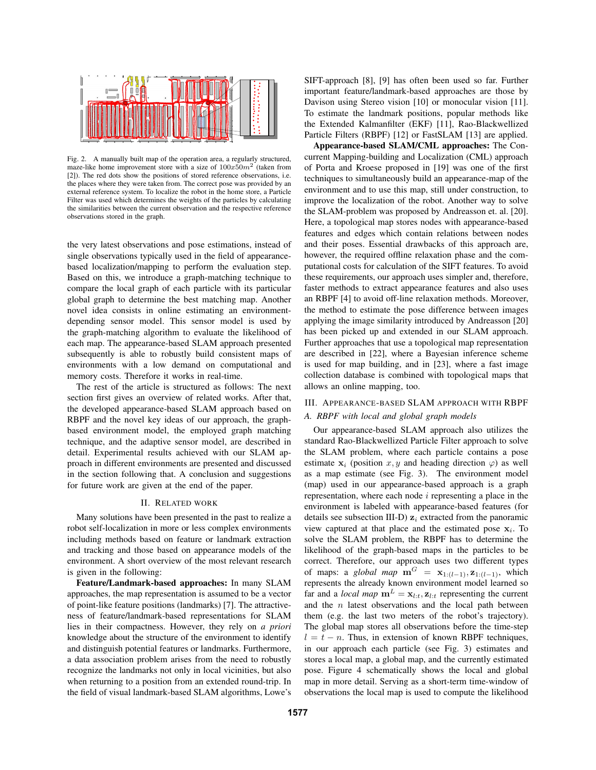

Fig. 2. A manually built map of the operation area, a regularly structured, maze-like home improvement store with a size of  $100x50m^2$  (taken from [2]). The red dots show the positions of stored reference observations, i.e. the places where they were taken from. The correct pose was provided by an external reference system. To localize the robot in the home store, a Particle Filter was used which determines the weights of the particles by calculating the similarities between the current observation and the respective reference observations stored in the graph.

the very latest observations and pose estimations, instead of single observations typically used in the field of appearancebased localization/mapping to perform the evaluation step. Based on this, we introduce a graph-matching technique to compare the local graph of each particle with its particular global graph to determine the best matching map. Another novel idea consists in online estimating an environmentdepending sensor model. This sensor model is used by the graph-matching algorithm to evaluate the likelihood of each map. The appearance-based SLAM approach presented subsequently is able to robustly build consistent maps of environments with a low demand on computational and memory costs. Therefore it works in real-time.

The rest of the article is structured as follows: The next section first gives an overview of related works. After that, the developed appearance-based SLAM approach based on RBPF and the novel key ideas of our approach, the graphbased environment model, the employed graph matching technique, and the adaptive sensor model, are described in detail. Experimental results achieved with our SLAM approach in different environments are presented and discussed in the section following that. A conclusion and suggestions for future work are given at the end of the paper.

# II. RELATED WORK

Many solutions have been presented in the past to realize a robot self-localization in more or less complex environments including methods based on feature or landmark extraction and tracking and those based on appearance models of the environment. A short overview of the most relevant research is given in the following:

Feature/Landmark-based approaches: In many SLAM approaches, the map representation is assumed to be a vector of point-like feature positions (landmarks) [7]. The attractiveness of feature/landmark-based representations for SLAM lies in their compactness. However, they rely on *a priori* knowledge about the structure of the environment to identify and distinguish potential features or landmarks. Furthermore, a data association problem arises from the need to robustly recognize the landmarks not only in local vicinities, but also when returning to a position from an extended round-trip. In the field of visual landmark-based SLAM algorithms, Lowe's SIFT-approach [8], [9] has often been used so far. Further important feature/landmark-based approaches are those by Davison using Stereo vision [10] or monocular vision [11]. To estimate the landmark positions, popular methods like the Extended Kalmanfilter (EKF) [11], Rao-Blackwellized Particle Filters (RBPF) [12] or FastSLAM [13] are applied.

Appearance-based SLAM/CML approaches: The Concurrent Mapping-building and Localization (CML) approach of Porta and Kroese proposed in [19] was one of the first techniques to simultaneously build an appearance-map of the environment and to use this map, still under construction, to improve the localization of the robot. Another way to solve the SLAM-problem was proposed by Andreasson et. al. [20]. Here, a topological map stores nodes with appearance-based features and edges which contain relations between nodes and their poses. Essential drawbacks of this approach are, however, the required offline relaxation phase and the computational costs for calculation of the SIFT features. To avoid these requirements, our approach uses simpler and, therefore, faster methods to extract appearance features and also uses an RBPF [4] to avoid off-line relaxation methods. Moreover, the method to estimate the pose difference between images applying the image similarity introduced by Andreasson [20] has been picked up and extended in our SLAM approach. Further approaches that use a topological map representation are described in [22], where a Bayesian inference scheme is used for map building, and in [23], where a fast image collection database is combined with topological maps that allows an online mapping, too.

### III. APPEARANCE-BASED SLAM APPROACH WITH RBPF

# *A. RBPF with local and global graph models*

Our appearance-based SLAM approach also utilizes the standard Rao-Blackwellized Particle Filter approach to solve the SLAM problem, where each particle contains a pose estimate  $x_i$  (position x, y and heading direction  $\varphi$ ) as well as a map estimate (see Fig. 3). The environment model (map) used in our appearance-based approach is a graph representation, where each node  $i$  representing a place in the environment is labeled with appearance-based features (for details see subsection III-D)  $z_i$  extracted from the panoramic view captured at that place and the estimated pose  $x_i$ . To solve the SLAM problem, the RBPF has to determine the likelihood of the graph-based maps in the particles to be correct. Therefore, our approach uses two different types of maps: a *global map*  $m<sup>G</sup> = x_{1:(l-1)}, z_{1:(l-1)}$ , which represents the already known environment model learned so far and a *local map*  $\mathbf{m}^L = \mathbf{x}_{l:t}, \mathbf{z}_{l:t}$  representing the current and the  $n$  latest observations and the local path between them (e.g. the last two meters of the robot's trajectory). The global map stores all observations before the time-step  $l = t - n$ . Thus, in extension of known RBPF techniques, in our approach each particle (see Fig. 3) estimates and stores a local map, a global map, and the currently estimated pose. Figure 4 schematically shows the local and global map in more detail. Serving as a short-term time-window of observations the local map is used to compute the likelihood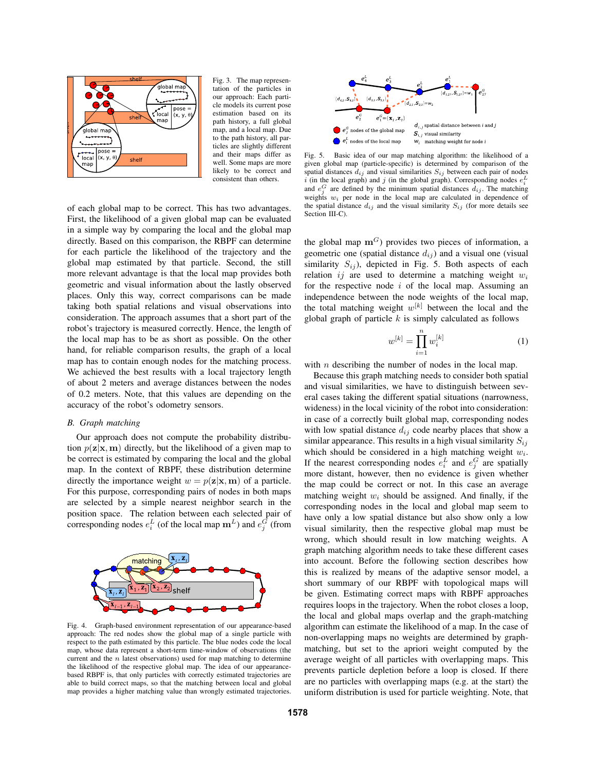

Fig. 3. The map representation of the particles in our approach: Each particle models its current pose estimation based on its path history, a full global map, and a local map. Due to the path history, all particles are slightly different and their maps differ as well. Some maps are more likely to be correct and consistent than others.

of each global map to be correct. This has two advantages. First, the likelihood of a given global map can be evaluated in a simple way by comparing the local and the global map directly. Based on this comparison, the RBPF can determine for each particle the likelihood of the trajectory and the global map estimated by that particle. Second, the still more relevant advantage is that the local map provides both geometric and visual information about the lastly observed places. Only this way, correct comparisons can be made taking both spatial relations and visual observations into consideration. The approach assumes that a short part of the robot's trajectory is measured correctly. Hence, the length of the local map has to be as short as possible. On the other hand, for reliable comparison results, the graph of a local map has to contain enough nodes for the matching process. We achieved the best results with a local trajectory length of about 2 meters and average distances between the nodes of 0.2 meters. Note, that this values are depending on the accuracy of the robot's odometry sensors.

#### *B. Graph matching*

Our approach does not compute the probability distribution  $p(\mathbf{z}|\mathbf{x}, \mathbf{m})$  directly, but the likelihood of a given map to be correct is estimated by comparing the local and the global map. In the context of RBPF, these distribution determine directly the importance weight  $w = p(\mathbf{z}|\mathbf{x}, \mathbf{m})$  of a particle. For this purpose, corresponding pairs of nodes in both maps are selected by a simple nearest neighbor search in the position space. The relation between each selected pair of corresponding nodes  $e_i^L$  (of the local map  $\mathbf{m}^L$ ) and  $e_j^G$  (from



Fig. 4. Graph-based environment representation of our appearance-based approach: The red nodes show the global map of a single particle with respect to the path estimated by this particle. The blue nodes code the local map, whose data represent a short-term time-window of observations (the current and the  $n$  latest observations) used for map matching to determine the likelihood of the respective global map. The idea of our appearancebased RBPF is, that only particles with correctly estimated trajectories are able to build correct maps, so that the matching between local and global map provides a higher matching value than wrongly estimated trajectories.



Fig. 5. Basic idea of our map matching algorithm: the likelihood of a given global map (particle-specific) is determined by comparison of the spatial distances  $d_{ij}$  and visual similarities  $S_{ij}$  between each pair of nodes i (in the local graph) and j (in the global graph). Corresponding nodes  $e_i^L$ and  $e_j^G$  are defined by the minimum spatial distances  $d_{ij}$ . The matching weights  $w_i$  per node in the local map are calculated in dependence of the spatial distance  $d_{ij}$  and the visual similarity  $S_{ij}$  (for more details see Section III-C).

the global map  $\mathbf{m}^G$ ) provides two pieces of information, a geometric one (spatial distance  $d_{ij}$ ) and a visual one (visual similarity  $S_{ij}$ ), depicted in Fig. 5. Both aspects of each relation  $ij$  are used to determine a matching weight  $w_i$ for the respective node  $i$  of the local map. Assuming an independence between the node weights of the local map, the total matching weight  $w^{[k]}$  between the local and the global graph of particle  $k$  is simply calculated as follows

$$
w^{[k]} = \prod_{i=1}^{n} w_i^{[k]}
$$
 (1)

with  $n$  describing the number of nodes in the local map.

Because this graph matching needs to consider both spatial and visual similarities, we have to distinguish between several cases taking the different spatial situations (narrowness, wideness) in the local vicinity of the robot into consideration: in case of a correctly built global map, corresponding nodes with low spatial distance  $d_{ij}$  code nearby places that show a similar appearance. This results in a high visual similarity  $S_{ij}$ which should be considered in a high matching weight  $w_i$ . If the nearest corresponding nodes  $e_i^L$  and  $e_j^G$  are spatially more distant, however, then no evidence is given whether the map could be correct or not. In this case an average matching weight  $w_i$  should be assigned. And finally, if the corresponding nodes in the local and global map seem to have only a low spatial distance but also show only a low visual similarity, then the respective global map must be wrong, which should result in low matching weights. A graph matching algorithm needs to take these different cases into account. Before the following section describes how this is realized by means of the adaptive sensor model, a short summary of our RBPF with topological maps will be given. Estimating correct maps with RBPF approaches requires loops in the trajectory. When the robot closes a loop, the local and global maps overlap and the graph-matching algorithm can estimate the likelihood of a map. In the case of non-overlapping maps no weights are determined by graphmatching, but set to the apriori weight computed by the average weight of all particles with overlapping maps. This prevents particle depletion before a loop is closed. If there are no particles with overlapping maps (e.g. at the start) the uniform distribution is used for particle weighting. Note, that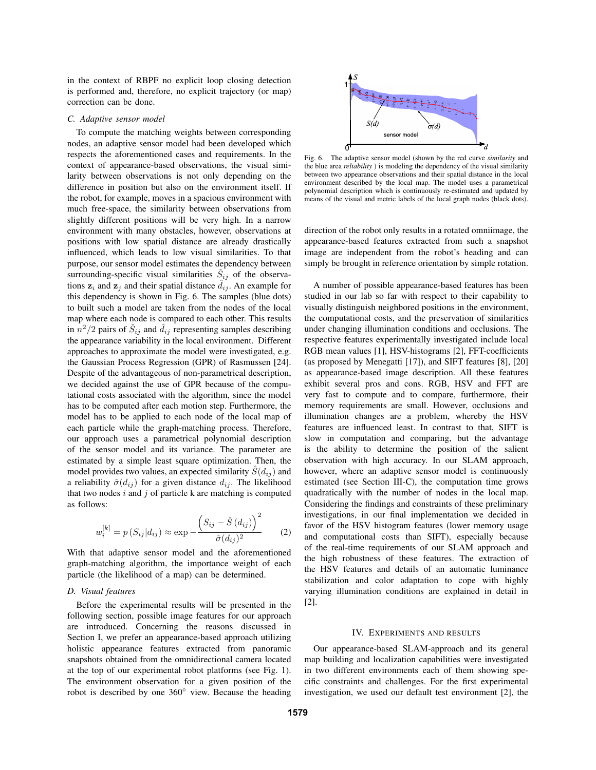in the context of RBPF no explicit loop closing detection is performed and, therefore, no explicit trajectory (or map) correction can be done.

## *C. Adaptive sensor model*

To compute the matching weights between corresponding nodes, an adaptive sensor model had been developed which respects the aforementioned cases and requirements. In the context of appearance-based observations, the visual similarity between observations is not only depending on the difference in position but also on the environment itself. If the robot, for example, moves in a spacious environment with much free-space, the similarity between observations from slightly different positions will be very high. In a narrow environment with many obstacles, however, observations at positions with low spatial distance are already drastically influenced, which leads to low visual similarities. To that purpose, our sensor model estimates the dependency between surrounding-specific visual similarities  $S_{ij}$  of the observations  $z_i$  and  $z_j$  and their spatial distance  $\hat{d}_{ij}$ . An example for this dependency is shown in Fig. 6. The samples (blue dots) to built such a model are taken from the nodes of the local map where each node is compared to each other. This results in  $n^2/2$  pairs of  $\hat{S}_{ij}$  and  $\hat{d}_{ij}$  representing samples describing the appearance variability in the local environment. Different approaches to approximate the model were investigated, e.g. the Gaussian Process Regression (GPR) of Rasmussen [24]. Despite of the advantageous of non-parametrical description, we decided against the use of GPR because of the computational costs associated with the algorithm, since the model has to be computed after each motion step. Furthermore, the model has to be applied to each node of the local map of each particle while the graph-matching process. Therefore, our approach uses a parametrical polynomial description of the sensor model and its variance. The parameter are estimated by a simple least square optimization. Then, the model provides two values, an expected similarity  $S(d_{ij})$  and a reliability  $\hat{\sigma}(d_{ij})$  for a given distance  $d_{ij}$ . The likelihood that two nodes  $i$  and  $j$  of particle k are matching is computed as follows:

$$
w_i^{[k]} = p(S_{ij}|d_{ij}) \approx \exp - \frac{\left(S_{ij} - \hat{S}(d_{ij})\right)^2}{\hat{\sigma}(d_{ij})^2}
$$
 (2)

With that adaptive sensor model and the aforementioned graph-matching algorithm, the importance weight of each particle (the likelihood of a map) can be determined.

# *D. Visual features*

Before the experimental results will be presented in the following section, possible image features for our approach are introduced. Concerning the reasons discussed in Section I, we prefer an appearance-based approach utilizing holistic appearance features extracted from panoramic snapshots obtained from the omnidirectional camera located at the top of our experimental robot platforms (see Fig. 1). The environment observation for a given position of the robot is described by one 360◦ view. Because the heading



Fig. 6. The adaptive sensor model (shown by the red curve *similarity* and the blue area *reliability* ) is modeling the dependency of the visual similarity between two appearance observations and their spatial distance in the local environment described by the local map. The model uses a parametrical polynomial description which is continuously re-estimated and updated by means of the visual and metric labels of the local graph nodes (black dots).

direction of the robot only results in a rotated omniimage, the appearance-based features extracted from such a snapshot image are independent from the robot's heading and can simply be brought in reference orientation by simple rotation.

A number of possible appearance-based features has been studied in our lab so far with respect to their capability to visually distinguish neighbored positions in the environment, the computational costs, and the preservation of similarities under changing illumination conditions and occlusions. The respective features experimentally investigated include local RGB mean values [1], HSV-histograms [2], FFT-coefficients (as proposed by Menegatti [17]), and SIFT features [8], [20] as appearance-based image description. All these features exhibit several pros and cons. RGB, HSV and FFT are very fast to compute and to compare, furthermore, their memory requirements are small. However, occlusions and illumination changes are a problem, whereby the HSV features are influenced least. In contrast to that, SIFT is slow in computation and comparing, but the advantage is the ability to determine the position of the salient observation with high accuracy. In our SLAM approach, however, where an adaptive sensor model is continuously estimated (see Section III-C), the computation time grows quadratically with the number of nodes in the local map. Considering the findings and constraints of these preliminary investigations, in our final implementation we decided in favor of the HSV histogram features (lower memory usage and computational costs than SIFT), especially because of the real-time requirements of our SLAM approach and the high robustness of these features. The extraction of the HSV features and details of an automatic luminance stabilization and color adaptation to cope with highly varying illumination conditions are explained in detail in [2].

## IV. EXPERIMENTS AND RESULTS

Our appearance-based SLAM-approach and its general map building and localization capabilities were investigated in two different environments each of them showing specific constraints and challenges. For the first experimental investigation, we used our default test environment [2], the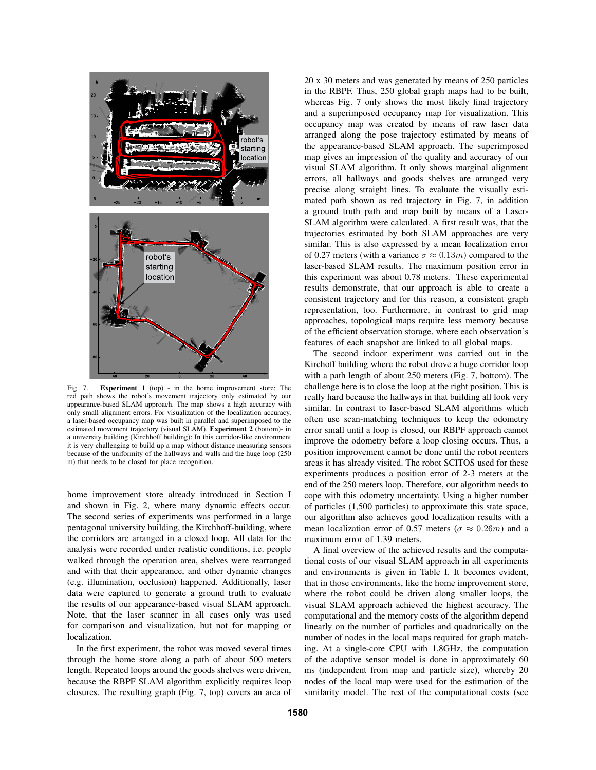

Fig. 7. Experiment 1 (top) - in the home improvement store: The red path shows the robot's movement trajectory only estimated by our appearance-based SLAM approach. The map shows a high accuracy with only small alignment errors. For visualization of the localization accuracy, a laser-based occupancy map was built in parallel and superimposed to the estimated movement trajectory (visual SLAM). Experiment 2 (bottom)- in a university building (Kirchhoff building): In this corridor-like environment it is very challenging to build up a map without distance measuring sensors because of the uniformity of the hallways and walls and the huge loop (250 m) that needs to be closed for place recognition.

home improvement store already introduced in Section I and shown in Fig. 2, where many dynamic effects occur. The second series of experiments was performed in a large pentagonal university building, the Kirchhoff-building, where the corridors are arranged in a closed loop. All data for the analysis were recorded under realistic conditions, i.e. people walked through the operation area, shelves were rearranged and with that their appearance, and other dynamic changes (e.g. illumination, occlusion) happened. Additionally, laser data were captured to generate a ground truth to evaluate the results of our appearance-based visual SLAM approach. Note, that the laser scanner in all cases only was used for comparison and visualization, but not for mapping or localization.

In the first experiment, the robot was moved several times through the home store along a path of about 500 meters length. Repeated loops around the goods shelves were driven, because the RBPF SLAM algorithm explicitly requires loop closures. The resulting graph (Fig. 7, top) covers an area of 20 x 30 meters and was generated by means of 250 particles in the RBPF. Thus, 250 global graph maps had to be built, whereas Fig. 7 only shows the most likely final trajectory and a superimposed occupancy map for visualization. This occupancy map was created by means of raw laser data arranged along the pose trajectory estimated by means of the appearance-based SLAM approach. The superimposed map gives an impression of the quality and accuracy of our visual SLAM algorithm. It only shows marginal alignment errors, all hallways and goods shelves are arranged very precise along straight lines. To evaluate the visually estimated path shown as red trajectory in Fig. 7, in addition a ground truth path and map built by means of a Laser-SLAM algorithm were calculated. A first result was, that the trajectories estimated by both SLAM approaches are very similar. This is also expressed by a mean localization error of 0.27 meters (with a variance  $\sigma \approx 0.13m$ ) compared to the laser-based SLAM results. The maximum position error in this experiment was about 0.78 meters. These experimental results demonstrate, that our approach is able to create a consistent trajectory and for this reason, a consistent graph representation, too. Furthermore, in contrast to grid map approaches, topological maps require less memory because of the efficient observation storage, where each observation's features of each snapshot are linked to all global maps.

The second indoor experiment was carried out in the Kirchoff building where the robot drove a huge corridor loop with a path length of about 250 meters (Fig. 7, bottom). The challenge here is to close the loop at the right position. This is really hard because the hallways in that building all look very similar. In contrast to laser-based SLAM algorithms which often use scan-matching techniques to keep the odometry error small until a loop is closed, our RBPF approach cannot improve the odometry before a loop closing occurs. Thus, a position improvement cannot be done until the robot reenters areas it has already visited. The robot SCITOS used for these experiments produces a position error of 2-3 meters at the end of the 250 meters loop. Therefore, our algorithm needs to cope with this odometry uncertainty. Using a higher number of particles (1,500 particles) to approximate this state space, our algorithm also achieves good localization results with a mean localization error of 0.57 meters ( $\sigma \approx 0.26m$ ) and a maximum error of 1.39 meters.

A final overview of the achieved results and the computational costs of our visual SLAM approach in all experiments and environments is given in Table I. It becomes evident, that in those environments, like the home improvement store, where the robot could be driven along smaller loops, the visual SLAM approach achieved the highest accuracy. The computational and the memory costs of the algorithm depend linearly on the number of particles and quadratically on the number of nodes in the local maps required for graph matching. At a single-core CPU with 1.8GHz, the computation of the adaptive sensor model is done in approximately 60 ms (independent from map and particle size), whereby 20 nodes of the local map were used for the estimation of the similarity model. The rest of the computational costs (see